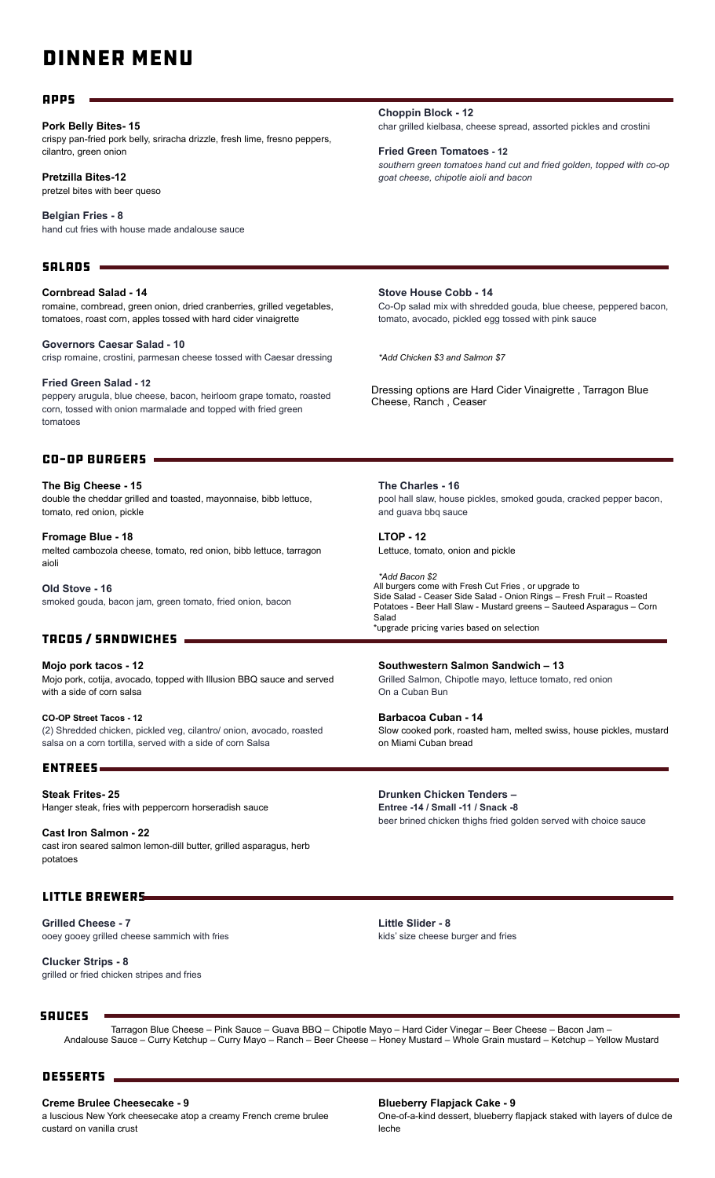## DINNER MENU

#### Apps

#### **Pork Belly Bites- 15**

crispy pan-fried pork belly, sriracha drizzle, fresh lime, fresno peppers, cilantro, green onion

#### **Pretzilla Bites-12**

pretzel bites with beer queso

**Belgian Fries - 8** hand cut fries with house made andalouse sauce

#### $SALRDS =$

**Cornbread Salad - 14** romaine, cornbread, green onion, dried cranberries, grilled vegetables, tomatoes, roast corn, apples tossed with hard cider vinaigrette

**Governors Caesar Salad - 10** crisp romaine, crostini, parmesan cheese tossed with Caesar dressing

**Fried Green Salad - 12** peppery arugula, blue cheese, bacon, heirloom grape tomato, roasted corn, tossed with onion marmalade and topped with fried green tomatoes

#### Co-Op Burgers

**The Big Cheese - 15** double the cheddar grilled and toasted, mayonnaise, bibb lettuce, tomato, red onion, pickle

**Fromage Blue - 18** melted cambozola cheese, tomato, red onion, bibb lettuce, tarragon aioli

**Old Stove - 16** smoked gouda, bacon jam, green tomato, fried onion, bacon

#### Tacos / Sandwiches

**Mojo pork tacos - 12** Mojo pork, cotija, avocado, topped with Illusion BBQ sauce and served with a side of corn salsa

**CO-OP Street Tacos - 12** (2) Shredded chicken, pickled veg, cilantro/ onion, avocado, roasted salsa on a corn tortilla, served with a side of corn Salsa

#### Entrees

**Steak Frites- 25** Hanger steak, fries with peppercorn horseradish sauce

**Cast Iron Salmon - 22** cast iron seared salmon lemon-dill butter, grilled asparagus, herb potatoes

#### Little Brewers

**Grilled Cheese - 7** ooey gooey grilled cheese sammich with fries

**Clucker Strips - 8** grilled or fried chicken stripes and fries **Choppin Block - 12** char grilled kielbasa, cheese spread, assorted pickles and crostini

**Fried Green Tomatoes - 12** *southern green tomatoes hand cut and fried golden, topped with co-op goat cheese, chipotle aioli and bacon* 

**Stove House Cobb - 14** Co-Op salad mix with shredded gouda, blue cheese, peppered bacon, tomato, avocado, pickled egg tossed with pink sauce

*\*Add Chicken \$3 and Salmon \$7*

Dressing options are Hard Cider Vinaigrette , Tarragon Blue Cheese, Ranch , Ceaser

**The Charles - 16** pool hall slaw, house pickles, smoked gouda, cracked pepper bacon, and guava bbq sauce

**LTOP - 12** Lettuce, tomato, onion and pickle

*\*Add Bacon \$2* All burgers come with Fresh Cut Fries, or upgrade to Side Salad - Ceaser Side Salad - Onion Rings – Fresh Fruit – Roasted Potatoes - Beer Hall Slaw - Mustard greens – Sauteed Asparagus – Corn Salad \*upgrade pricing varies based on selection

**Southwestern Salmon Sandwich – 13** Grilled Salmon, Chipotle mayo, lettuce tomato, red onion On a Cuban Bun

**Barbacoa Cuban - 14** Slow cooked pork, roasted ham, melted swiss, house pickles, mustard on Miami Cuban bread

**Drunken Chicken Tenders –**

**Entree -14 / Small -11 / Snack -8** beer brined chicken thighs fried golden served with choice sauce

**Little Slider - 8** kids' size cheese burger and fries

#### **SAUCES**

Tarragon Blue Cheese – Pink Sauce – Guava BBQ – Chipotle Mayo – Hard Cider Vinegar – Beer Cheese – Bacon Jam – Andalouse Sauce – Curry Ketchup – Curry Mayo – Ranch – Beer Cheese – Honey Mustard – Whole Grain mustard – Ketchup – Yellow Mustard

#### DESSERTS \_

**Creme Brulee Cheesecake - 9**

a luscious New York cheesecake atop a creamy French creme brulee custard on vanilla crust

#### **Blueberry Flapjack Cake - 9**

One-of-a-kind dessert, blueberry flapjack staked with layers of dulce de leche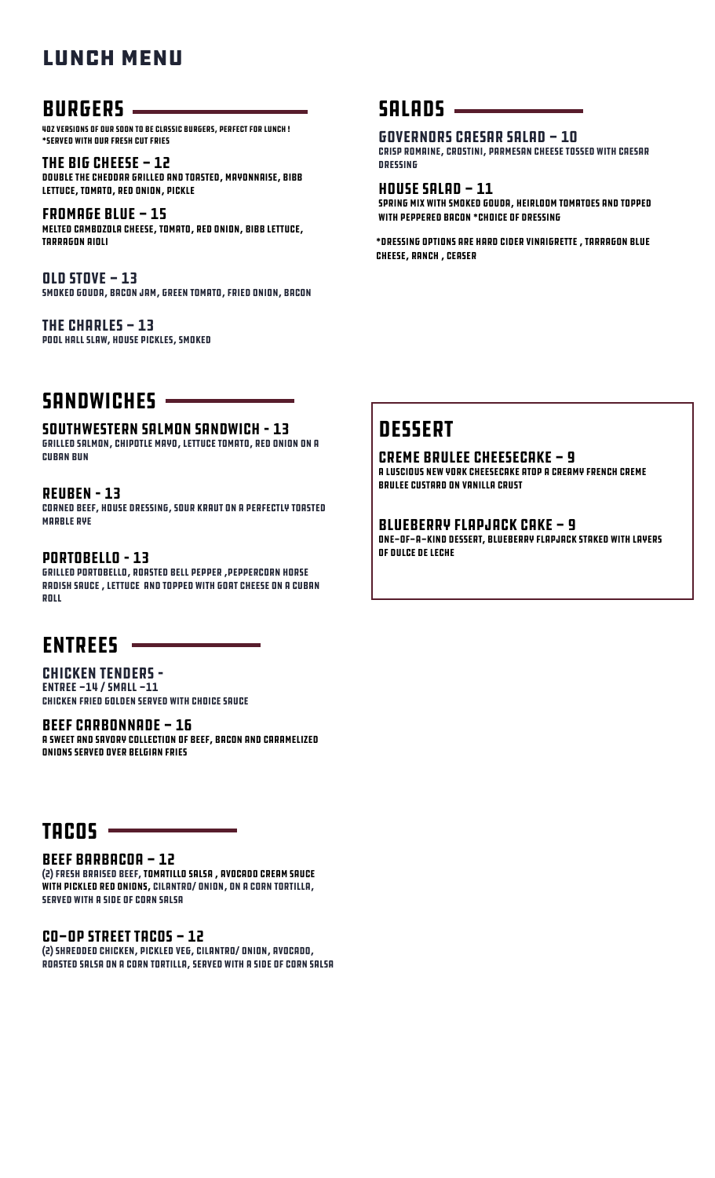## LUNCH MENU

## BURGERS

4oz versions of our soon to be classic burgers, Perfect for lunch ! \*Served with our Fresh Cut Fries

THE BIG CHEESE - 12 double the cheddar grilled and toasted, mayonnaise, bibb lettuce, tomato, red onion, pickle

Fromage Blue - 15 melted cambozola cheese, tomato, red onion, bibb lettuce, tarragon aioli

 $QLD$  stove  $-13$ smoked gouda, bacon jam, green tomato, fried onion, bacon

THE CHARLES  $-13$ pool hall slaw, house pickles, smoked

## SANDWICHES -

#### Southwestern Salmon Sandwich – 13

Grilled Salmon, Chipotle mayo, lettuce tomato, red onion On a Cuban Bun

#### REUBEN – 13

Corned Beef, House dressing, sour kraut on a perfectly toasted **MARBLE RYE** 

#### Portobello – 13

Grilled portobello, roasted bell pepper ,peppercorn horse radish sauce , lettuce and topped with goat cheese On a Cuban roll

## Entrees

Chicken Tenders – Entree -14 / Small -11 chicken fried golden served with choice sauce

#### BEEF CARBONNADE - 16

A sweet and savory collection of beef, bacon and caramelized onions served over Belgian fries

## $TACOS =$

#### Beef barbacoa - 12

(2) fresh braised beef, tomatillo salsa , avocado cream sauce with pickled red onions, cilantro/ onion, on a corn tortilla, served with a side of corn Salsa

CO-OP Street Tacos - 12

(2) Shredded chicken, pickled veg, cilantro/ onion, avocado, roasted salsa on a corn tortilla, served with a side of corn Salsa

### $SALBDS$   $-$

#### Governors Caesar Salad - 10

crisp romaine, crostini, parmesan cheese tossed with Caesar dressing

 $H$ ouse Salad - 11 spring mix with smoked gouda, heirloom tomatoes and topped with peppered bacon \*choice of dressing

\*Dressing options are Hard Cider Vinaigrette , Tarragon Blue Cheese, Ranch , Ceaser

## **DESSERT**

#### Creme Brulee Cheesecake - 9

a luscious New York cheesecake atop a creamy French creme brulee custard on vanilla crust

#### Blueberry Flapjack Cake - 9

One-of-a-kind dessert, blueberry flapjack staked with layers of dulce de leche